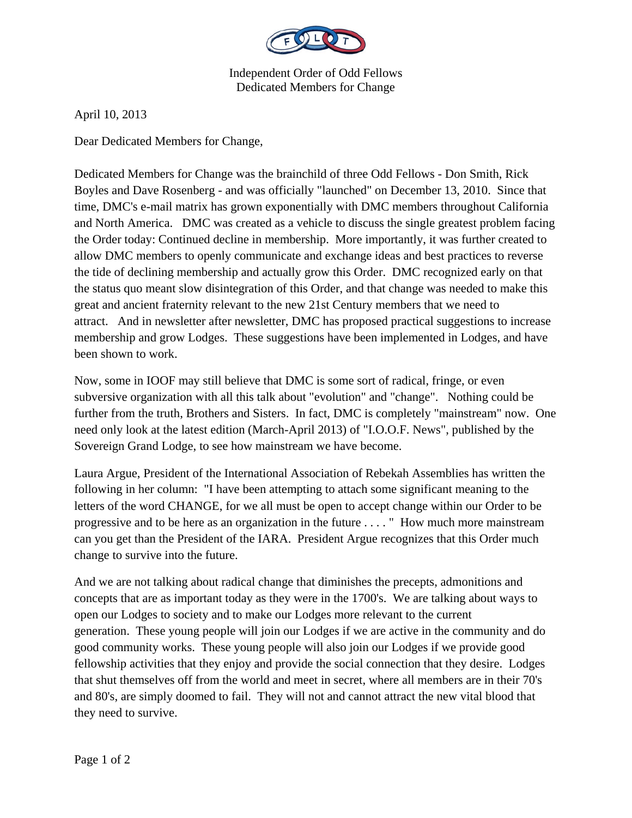

Independent Order of Odd Fellows Dedicated Members for Change

April 10, 2013

Dear Dedicated Members for Change,

Dedicated Members for Change was the brainchild of three Odd Fellows - Don Smith, Rick Boyles and Dave Rosenberg - and was officially "launched" on December 13, 2010. Since that time, DMC's e-mail matrix has grown exponentially with DMC members throughout California and North America. DMC was created as a vehicle to discuss the single greatest problem facing the Order today: Continued decline in membership. More importantly, it was further created to allow DMC members to openly communicate and exchange ideas and best practices to reverse the tide of declining membership and actually grow this Order. DMC recognized early on that the status quo meant slow disintegration of this Order, and that change was needed to make this great and ancient fraternity relevant to the new 21st Century members that we need to attract. And in newsletter after newsletter, DMC has proposed practical suggestions to increase membership and grow Lodges. These suggestions have been implemented in Lodges, and have been shown to work.

Now, some in IOOF may still believe that DMC is some sort of radical, fringe, or even subversive organization with all this talk about "evolution" and "change". Nothing could be further from the truth, Brothers and Sisters. In fact, DMC is completely "mainstream" now. One need only look at the latest edition (March-April 2013) of "I.O.O.F. News", published by the Sovereign Grand Lodge, to see how mainstream we have become.

Laura Argue, President of the International Association of Rebekah Assemblies has written the following in her column: "I have been attempting to attach some significant meaning to the letters of the word CHANGE, for we all must be open to accept change within our Order to be progressive and to be here as an organization in the future . . . . " How much more mainstream can you get than the President of the IARA. President Argue recognizes that this Order much change to survive into the future.

And we are not talking about radical change that diminishes the precepts, admonitions and concepts that are as important today as they were in the 1700's. We are talking about ways to open our Lodges to society and to make our Lodges more relevant to the current generation. These young people will join our Lodges if we are active in the community and do good community works. These young people will also join our Lodges if we provide good fellowship activities that they enjoy and provide the social connection that they desire. Lodges that shut themselves off from the world and meet in secret, where all members are in their 70's and 80's, are simply doomed to fail. They will not and cannot attract the new vital blood that they need to survive.